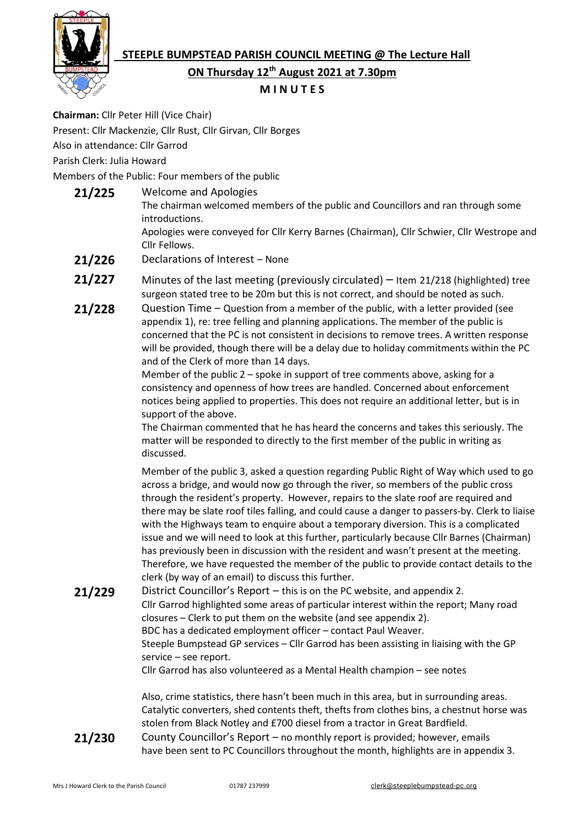# **STEEPLE BUMPSTEAD PARISH COUNCIL MEETING @ The Lecture Hall**



**ON Thursday 12th August 2021 at 7.30pm**

## **M I N U T E S**

**Chairman:** Cllr Peter Hill (Vice Chair) Present: Cllr Mackenzie, Cllr Rust, Cllr Girvan, Cllr Borges Also in attendance: Cllr Garrod Parish Clerk: Julia Howard

Members of the Public: Four members of the public

- **21/225** Welcome and Apologies The chairman welcomed members of the public and Councillors and ran through some introductions. Apologies were conveyed for Cllr Kerry Barnes (Chairman), Cllr Schwier, Cllr Westrope and Cllr Fellows.
- **21/226** Declarations of Interest None
- **21/227** Minutes of the last meeting (previously circulated) Item 21/218 (highlighted) tree surgeon stated tree to be 20m but this is not correct, and should be noted as such.
- **21/228** Question Time Question from a member of the public, with a letter provided (see appendix 1), re: tree felling and planning applications. The member of the public is concerned that the PC is not consistent in decisions to remove trees. A written response will be provided, though there will be a delay due to holiday commitments within the PC and of the Clerk of more than 14 days.

Member of the public 2 – spoke in support of tree comments above, asking for a consistency and openness of how trees are handled. Concerned about enforcement notices being applied to properties. This does not require an additional letter, but is in support of the above.

The Chairman commented that he has heard the concerns and takes this seriously. The matter will be responded to directly to the first member of the public in writing as discussed.

Member of the public 3, asked a question regarding Public Right of Way which used to go across a bridge, and would now go through the river, so members of the public cross through the resident's property. However, repairs to the slate roof are required and there may be slate roof tiles falling, and could cause a danger to passers-by. Clerk to liaise with the Highways team to enquire about a temporary diversion. This is a complicated issue and we will need to look at this further, particularly because Cllr Barnes (Chairman) has previously been in discussion with the resident and wasn't present at the meeting. Therefore, we have requested the member of the public to provide contact details to the clerk (by way of an email) to discuss this further.

**21/229** District Councillor's Report – this is on the PC website, and appendix 2. Cllr Garrod highlighted some areas of particular interest within the report; Many road closures – Clerk to put them on the website (and see appendix 2). BDC has a dedicated employment officer – contact Paul Weaver. Steeple Bumpstead GP services – Cllr Garrod has been assisting in liaising with the GP service – see report.

Cllr Garrod has also volunteered as a Mental Health champion – see notes

Also, crime statistics, there hasn't been much in this area, but in surrounding areas. Catalytic converters, shed contents theft, thefts from clothes bins, a chestnut horse was stolen from Black Notley and £700 diesel from a tractor in Great Bardfield.

**21/230** County Councillor's Report – no monthly report is provided; however, emails have been sent to PC Councillors throughout the month, highlights are in appendix 3.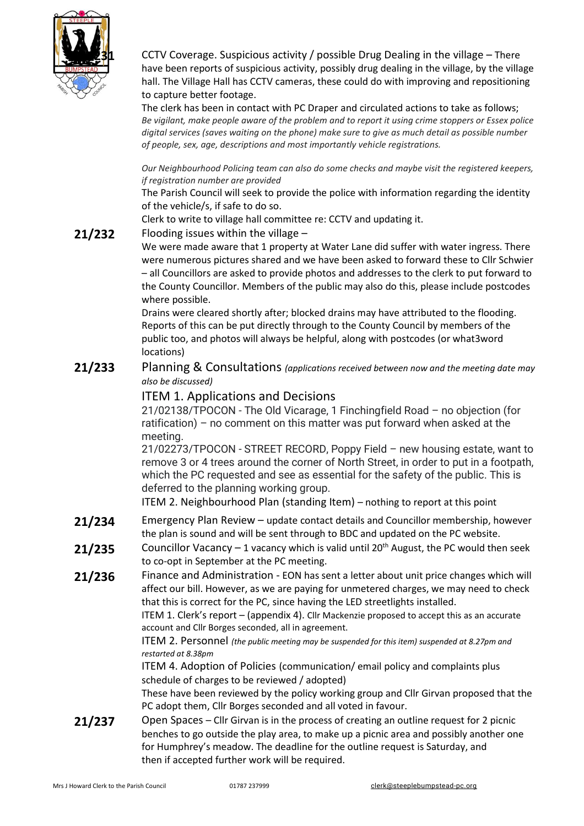

**21/231** CCTV Coverage. Suspicious activity / possible Drug Dealing in the village – There have been reports of suspicious activity, possibly drug dealing in the village, by the village hall. The Village Hall has CCTV cameras, these could do with improving and repositioning to capture better footage.

The clerk has been in contact with PC Draper and circulated actions to take as follows; *Be vigilant, make people aware of the problem and to report it using crime stoppers or Essex police digital services (saves waiting on the phone) make sure to give as much detail as possible number of people, sex, age, descriptions and most importantly vehicle registrations.* 

*Our Neighbourhood Policing team can also do some checks and maybe visit the registered keepers, if registration number are provided*

The Parish Council will seek to provide the police with information regarding the identity of the vehicle/s, if safe to do so.

Clerk to write to village hall committee re: CCTV and updating it.

### **21/232** Flooding issues within the village –

We were made aware that 1 property at Water Lane did suffer with water ingress. There were numerous pictures shared and we have been asked to forward these to Cllr Schwier – all Councillors are asked to provide photos and addresses to the clerk to put forward to the County Councillor. Members of the public may also do this, please include postcodes where possible.

Drains were cleared shortly after; blocked drains may have attributed to the flooding. Reports of this can be put directly through to the County Council by members of the public too, and photos will always be helpful, along with postcodes (or what3word locations)

### **21/233** Planning & Consultations *(applications received between now and the meeting date may also be discussed)*

### ITEM 1. Applications and Decisions

21/02138/TPOCON - The Old Vicarage, 1 Finchingfield Road – no objection (for ratification) – no comment on this matter was put forward when asked at the meeting.

21/02273/TPOCON - STREET RECORD, Poppy Field – new housing estate, want to remove 3 or 4 trees around the corner of North Street, in order to put in a footpath, which the PC requested and see as essential for the safety of the public. This is deferred to the planning working group.

ITEM 2. Neighbourhood Plan (standing Item) – nothing to report at this point

- **21/234** Emergency Plan Review update contact details and Councillor membership, however the plan is sound and will be sent through to BDC and updated on the PC website.
- **21/235** Councillor Vacancy 1 vacancy which is valid until 20<sup>th</sup> August, the PC would then seek to co-opt in September at the PC meeting.
- **21/236** Finance and Administration EON has sent a letter about unit price changes which will affect our bill. However, as we are paying for unmetered charges, we may need to check that this is correct for the PC, since having the LED streetlights installed.

ITEM 1. Clerk's report – (appendix 4). Cllr Mackenzie proposed to accept this as an accurate account and Cllr Borges seconded, all in agreement.

ITEM 2. Personnel *(the public meeting may be suspended for this item) suspended at 8.27pm and restarted at 8.38pm*

ITEM 4. Adoption of Policies (communication/ email policy and complaints plus schedule of charges to be reviewed / adopted)

These have been reviewed by the policy working group and Cllr Girvan proposed that the PC adopt them, Cllr Borges seconded and all voted in favour.

**21/237** Open Spaces – Cllr Girvan is in the process of creating an outline request for 2 picnic benches to go outside the play area, to make up a picnic area and possibly another one for Humphrey's meadow. The deadline for the outline request is Saturday, and then if accepted further work will be required.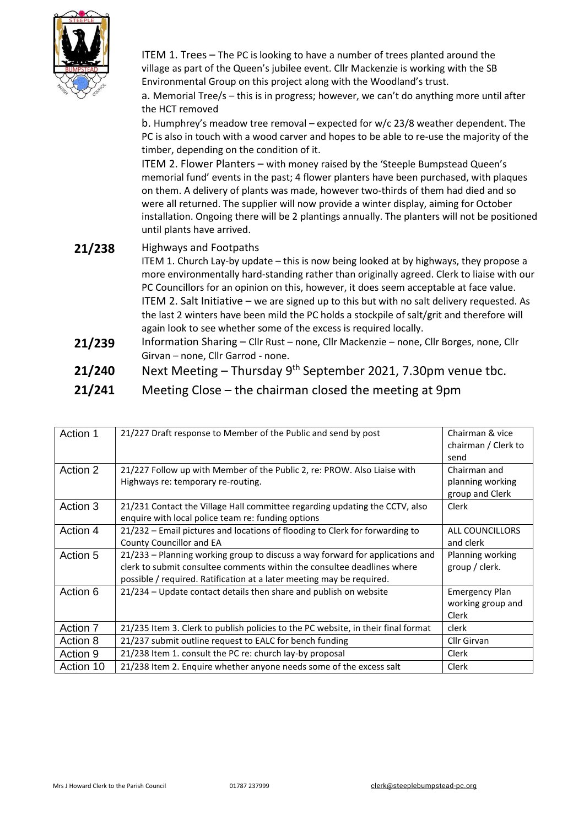

ITEM 1. Trees – The PC is looking to have a number of trees planted around the village as part of the Queen's jubilee event. Cllr Mackenzie is working with the SB Environmental Group on this project along with the Woodland's trust.

a. Memorial Tree/s – this is in progress; however, we can't do anything more until after the HCT removed

b. Humphrey's meadow tree removal – expected for w/c 23/8 weather dependent. The PC is also in touch with a wood carver and hopes to be able to re-use the majority of the timber, depending on the condition of it.

ITEM 2. Flower Planters – with money raised by the 'Steeple Bumpstead Queen's memorial fund' events in the past; 4 flower planters have been purchased, with plaques on them. A delivery of plants was made, however two-thirds of them had died and so were all returned. The supplier will now provide a winter display, aiming for October installation. Ongoing there will be 2 plantings annually. The planters will not be positioned until plants have arrived.

## **21/238** Highways and Footpaths

- ITEM 1. Church Lay-by update this is now being looked at by highways, they propose a more environmentally hard-standing rather than originally agreed. Clerk to liaise with our PC Councillors for an opinion on this, however, it does seem acceptable at face value. ITEM 2. Salt Initiative – we are signed up to this but with no salt delivery requested. As the last 2 winters have been mild the PC holds a stockpile of salt/grit and therefore will again look to see whether some of the excess is required locally.
- **21/239** Information Sharing Cllr Rust none, Cllr Mackenzie none, Cllr Borges, none, Cllr Girvan – none, Cllr Garrod - none.
- **21/240** Next Meeting Thursday 9<sup>th</sup> September 2021, 7.30pm venue tbc.
- **21/241** Meeting Close the chairman closed the meeting at 9pm

| Action 1  | 21/227 Draft response to Member of the Public and send by post                                                                                                                                                                    | Chairman & vice<br>chairman / Clerk to<br>send      |
|-----------|-----------------------------------------------------------------------------------------------------------------------------------------------------------------------------------------------------------------------------------|-----------------------------------------------------|
| Action 2  | 21/227 Follow up with Member of the Public 2, re: PROW. Also Liaise with<br>Highways re: temporary re-routing.                                                                                                                    | Chairman and<br>planning working<br>group and Clerk |
| Action 3  | 21/231 Contact the Village Hall committee regarding updating the CCTV, also<br>enquire with local police team re: funding options                                                                                                 | Clerk                                               |
| Action 4  | 21/232 - Email pictures and locations of flooding to Clerk for forwarding to<br>County Councillor and EA                                                                                                                          | ALL COUNCILLORS<br>and clerk                        |
| Action 5  | 21/233 – Planning working group to discuss a way forward for applications and<br>clerk to submit consultee comments within the consultee deadlines where<br>possible / required. Ratification at a later meeting may be required. | Planning working<br>group / clerk.                  |
| Action 6  | 21/234 - Update contact details then share and publish on website                                                                                                                                                                 | <b>Emergency Plan</b><br>working group and<br>Clerk |
| Action 7  | 21/235 Item 3. Clerk to publish policies to the PC website, in their final format                                                                                                                                                 | clerk                                               |
| Action 8  | 21/237 submit outline request to EALC for bench funding                                                                                                                                                                           | Cllr Girvan                                         |
| Action 9  | 21/238 Item 1. consult the PC re: church lay-by proposal                                                                                                                                                                          | Clerk                                               |
| Action 10 | 21/238 Item 2. Enquire whether anyone needs some of the excess salt                                                                                                                                                               | Clerk                                               |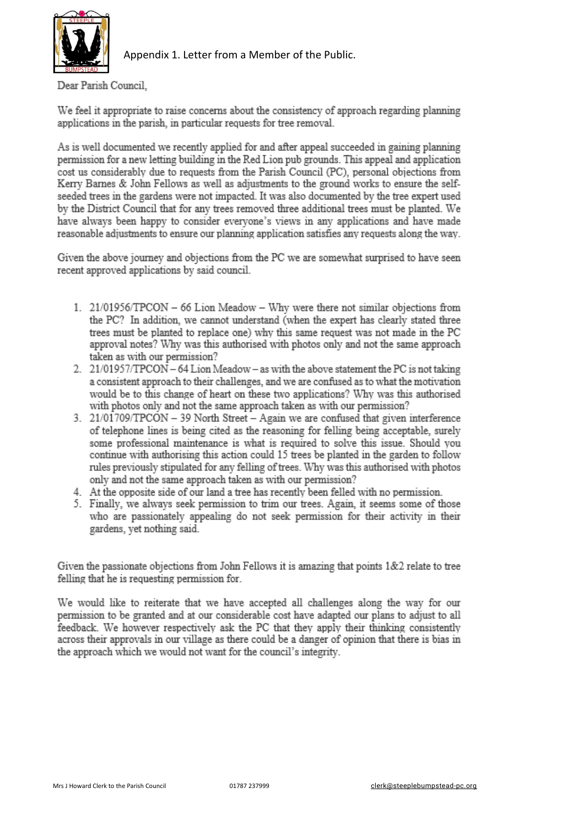

Appendix 1. Letter from a Member of the Public.

Dear Parish Council.

We feel it appropriate to raise concerns about the consistency of approach regarding planning applications in the parish, in particular requests for tree removal.

As is well documented we recently applied for and after appeal succeeded in gaining planning permission for a new letting building in the Red Lion pub grounds. This appeal and application cost us considerably due to requests from the Parish Council (PC), personal objections from Kerry Barnes & John Fellows as well as adjustments to the ground works to ensure the selfseeded trees in the gardens were not impacted. It was also documented by the tree expert used by the District Council that for any trees removed three additional trees must be planted. We have always been happy to consider everyone's views in any applications and have made reasonable adjustments to ensure our planning application satisfies any requests along the way.

Given the above journey and objections from the PC we are somewhat surprised to have seen recent approved applications by said council.

- 1. 21/01956/TPCON 66 Lion Meadow Why were there not similar objections from the PC? In addition, we cannot understand (when the expert has clearly stated three trees must be planted to replace one) why this same request was not made in the PC approval notes? Why was this authorised with photos only and not the same approach taken as with our permission?
- 2. 21/01957/TPCON 64 Lion Meadow as with the above statement the PC is not taking a consistent approach to their challenges, and we are confused as to what the motivation would be to this change of heart on these two applications? Why was this authorised with photos only and not the same approach taken as with our permission?
- 3. 21/01709/TPCON 39 North Street Again we are confused that given interference of telephone lines is being cited as the reasoning for felling being acceptable, surely some professional maintenance is what is required to solve this issue. Should you continue with authorising this action could 15 trees be planted in the garden to follow rules previously stipulated for any felling of trees. Why was this authorised with photos only and not the same approach taken as with our permission?
- 4. At the opposite side of our land a tree has recently been felled with no permission.
- 5. Finally, we always seek permission to trim our trees. Again, it seems some of those who are passionately appealing do not seek permission for their activity in their gardens, yet nothing said.

Given the passionate objections from John Fellows it is amazing that points 1&2 relate to tree felling that he is requesting permission for.

We would like to reiterate that we have accepted all challenges along the way for our permission to be granted and at our considerable cost have adapted our plans to adjust to all feedback. We however respectively ask the PC that they apply their thinking consistently across their approvals in our village as there could be a danger of opinion that there is bias in the approach which we would not want for the council's integrity.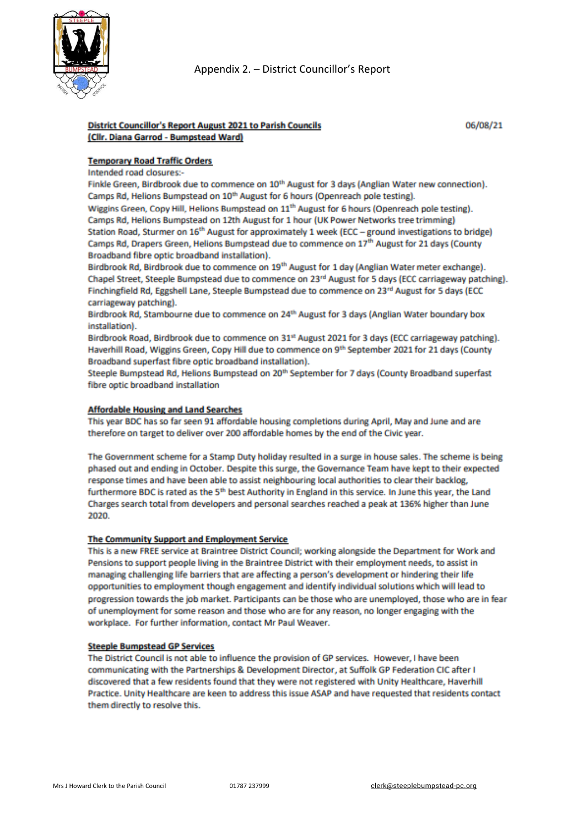

### **District Councillor's Report August 2021 to Parish Councils** (Cllr. Diana Garrod - Bumpstead Ward)

### **Temporary Road Traffic Orders**

Intended road closures:-

Finkle Green, Birdbrook due to commence on 10<sup>th</sup> August for 3 days (Anglian Water new connection). Camps Rd, Helions Bumpstead on 10<sup>th</sup> August for 6 hours (Openreach pole testing).

Wiggins Green, Copy Hill, Helions Bumpstead on 11<sup>th</sup> August for 6 hours (Openreach pole testing). Camps Rd, Helions Bumpstead on 12th August for 1 hour (UK Power Networks tree trimming) Station Road, Sturmer on 16<sup>th</sup> August for approximately 1 week (ECC - ground investigations to bridge) Camps Rd, Drapers Green, Helions Bumpstead due to commence on 17<sup>th</sup> August for 21 days (County Broadband fibre optic broadband installation).

Birdbrook Rd, Birdbrook due to commence on 19<sup>th</sup> August for 1 day (Anglian Water meter exchange). Chapel Street, Steeple Bumpstead due to commence on 23rd August for 5 days (ECC carriageway patching). Finchingfield Rd, Eggshell Lane, Steeple Bumpstead due to commence on 23rd August for 5 days (ECC carriageway patching).

Birdbrook Rd, Stambourne due to commence on 24<sup>th</sup> August for 3 days (Anglian Water boundary box installation).

Birdbrook Road, Birdbrook due to commence on 31st August 2021 for 3 days (ECC carriageway patching). Haverhill Road, Wiggins Green, Copy Hill due to commence on 9th September 2021 for 21 days (County Broadband superfast fibre optic broadband installation).

Steeple Bumpstead Rd, Helions Bumpstead on 20<sup>th</sup> September for 7 days (County Broadband superfast fibre optic broadband installation

#### **Affordable Housing and Land Searches**

This year BDC has so far seen 91 affordable housing completions during April, May and June and are therefore on target to deliver over 200 affordable homes by the end of the Civic year.

The Government scheme for a Stamp Duty holiday resulted in a surge in house sales. The scheme is being phased out and ending in October. Despite this surge, the Governance Team have kept to their expected response times and have been able to assist neighbouring local authorities to clear their backlog, furthermore BDC is rated as the 5<sup>th</sup> best Authority in England in this service. In June this year, the Land Charges search total from developers and personal searches reached a peak at 136% higher than June 2020.

#### The Community Support and Employment Service

This is a new FREE service at Braintree District Council; working alongside the Department for Work and Pensions to support people living in the Braintree District with their employment needs, to assist in managing challenging life barriers that are affecting a person's development or hindering their life opportunities to employment though engagement and identify individual solutions which will lead to progression towards the job market. Participants can be those who are unemployed, those who are in fear of unemployment for some reason and those who are for any reason, no longer engaging with the workplace. For further information, contact Mr Paul Weaver.

#### **Steeple Bumpstead GP Services**

The District Council is not able to influence the provision of GP services. However, I have been communicating with the Partnerships & Development Director, at Suffolk GP Federation CIC after I discovered that a few residents found that they were not registered with Unity Healthcare, Haverhill Practice. Unity Healthcare are keen to address this issue ASAP and have requested that residents contact them directly to resolve this.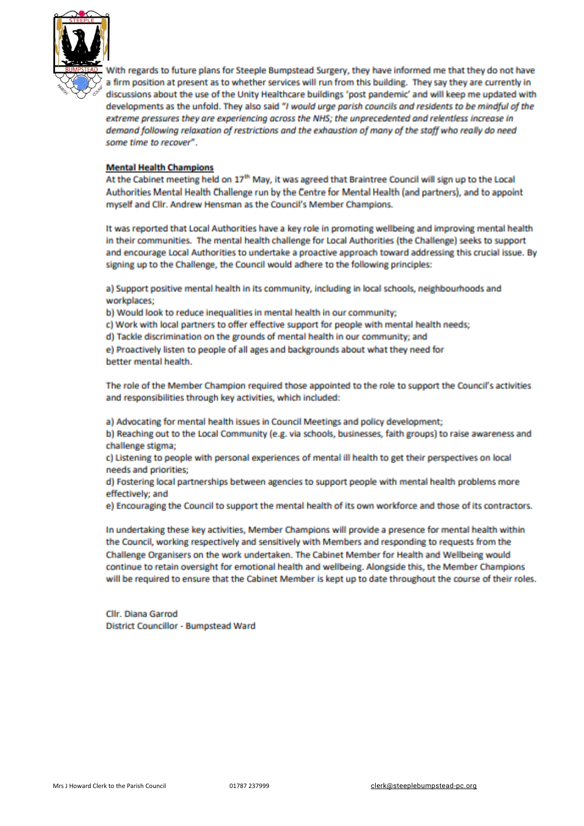

With regards to future plans for Steeple Bumpstead Surgery, they have informed me that they do not have a firm position at present as to whether services will run from this building. They say they are currently in discussions about the use of the Unity Healthcare buildings 'post pandemic' and will keep me updated with developments as the unfold. They also said "I would urge parish councils and residents to be mindful of the extreme pressures they are experiencing across the NHS; the unprecedented and relentless increase in demand following relaxation of restrictions and the exhaustion of many of the staff who really do need some time to recover".

### **Mental Health Champions**

At the Cabinet meeting held on 17<sup>th</sup> May, it was agreed that Braintree Council will sign up to the Local Authorities Mental Health Challenge run by the Centre for Mental Health (and partners), and to appoint myself and Clir. Andrew Hensman as the Council's Member Champions.

It was reported that Local Authorities have a key role in promoting wellbeing and improving mental health in their communities. The mental health challenge for Local Authorities (the Challenge) seeks to support and encourage Local Authorities to undertake a proactive approach toward addressing this crucial issue. By signing up to the Challenge, the Council would adhere to the following principles:

a) Support positive mental health in its community, including in local schools, neighbourhoods and workplaces;

b) Would look to reduce inequalities in mental health in our community;

c) Work with local partners to offer effective support for people with mental health needs;

d) Tackle discrimination on the grounds of mental health in our community; and

e) Proactively listen to people of all ages and backgrounds about what they need for better mental health.

The role of the Member Champion required those appointed to the role to support the Council's activities and responsibilities through key activities, which included:

a) Advocating for mental health issues in Council Meetings and policy development;

b) Reaching out to the Local Community (e.g. via schools, businesses, faith groups) to raise awareness and challenge stigma;

c) Listening to people with personal experiences of mental ill health to get their perspectives on local needs and priorities;

d) Fostering local partnerships between agencies to support people with mental health problems more effectively; and

e) Encouraging the Council to support the mental health of its own workforce and those of its contractors.

In undertaking these key activities, Member Champions will provide a presence for mental health within the Council, working respectively and sensitively with Members and responding to requests from the Challenge Organisers on the work undertaken. The Cabinet Member for Health and Wellbeing would continue to retain oversight for emotional health and wellbeing. Alongside this, the Member Champions will be required to ensure that the Cabinet Member is kept up to date throughout the course of their roles.

Cllr. Diana Garrod District Councillor - Bumpstead Ward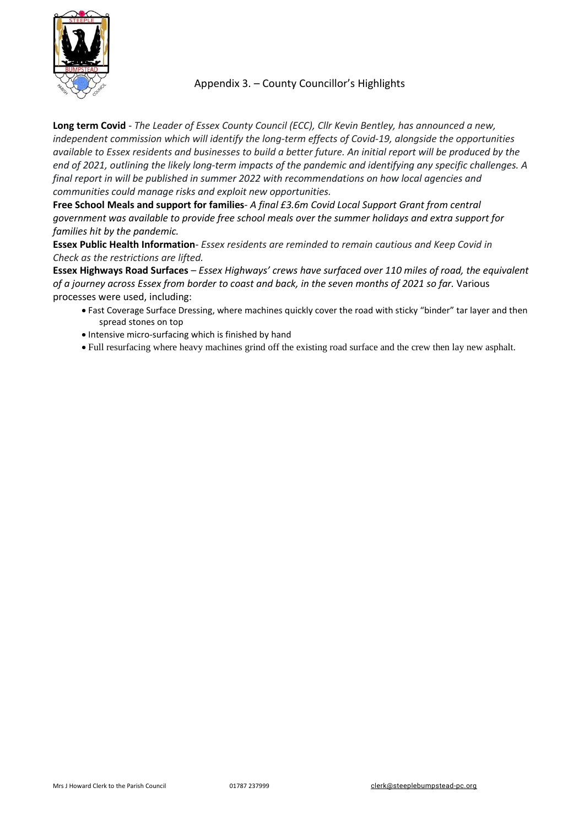

### Appendix 3. – County Councillor's Highlights

**Long term Covid** - *The Leader of Essex County Council (ECC), Cllr Kevin Bentley, has announced a new, independent commission which will identify the long-term effects of Covid-19, alongside the opportunities* available to Essex residents and businesses to build a better future. An initial report will be produced by the end of 2021, outlining the likely long-term impacts of the pandemic and identifying any specific challenges. A *final report in will be published in summer 2022 with recommendations on how local agencies and communities could manage risks and exploit new opportunities.*

**Free School Meals and support for families**- *A final £3.6m Covid Local Support Grant from central government was available to provide free school meals over the summer holidays and extra support for families hit by the pandemic.*

**Essex Public Health Information**- *Essex residents are reminded to remain cautious and Keep Covid in Check as the restrictions are lifted.*

**Essex Highways Road Surfaces** – *Essex Highways' crews have surfaced over 110 miles of road, the equivalent* of a journey across Essex from border to coast and back, in the seven months of 2021 so far. Various processes were used, including:

- Fast Coverage Surface Dressing, where machines quickly cover the road with sticky "binder" tar layer and then spread stones on top
- Intensive micro-surfacing which is finished by hand
- Full resurfacing where heavy machines grind off the existing road surface and the crew then lay new asphalt.